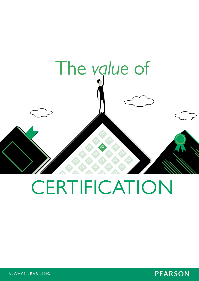

# **CERTIFICATION**



ALWAYS LEARNING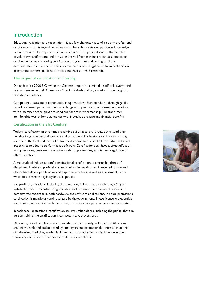# **Introduction**

Education, validation and recognition - just a few characteristics of a quality professional certification that distinguish individuals who have demonstrated particular knowledge or skills required for a specific role or profession. This paper discusses the benefits of voluntary certifications and the value derived from earning credentials, employing certified individuals, creating certification programmes and relying on those demonstrated competencies. The information herein was gathered from certification programme owners, published articles and Pearson VUE research.

#### The origins of certification and testing

Dating back to 2200 B.C. when the Chinese emperor examined his officials every third year to determine their fitness for office, individuals and organisations have sought to validate competency.

Competency assessment continued through medieval Europe where, through guilds, skilled craftsmen passed on their knowledge to apprentices. For consumers, working with a member of the guild provided confidence in workmanship. For tradesmen, membership was an honour, replete with increased prestige and financial benefits.

#### Certification in the 21st Century

Today's certification programmes resemble guilds in several areas, but extend their benefits to groups beyond workers and consumers. Professional certifications today are one of the best and most effective mechanisms to assess the knowledge, skills and experience needed to perform a specific role. Certifications can have a direct effect on hiring decisions, customer satisfaction, sales opportunities, salaries and regulation of ethical practices.

A multitude of industries confer professional certifications covering hundreds of disciplines. Trade and professional associations in health care, finance, education and others have developed training and experience criteria as well as assessments from which to determine eligibility and acceptance.

For-profit organisations, including those working in information technology (IT) or high-tech product manufacturing, maintain and promote their own certifications to demonstrate expertise in both hardware and software applications. In some professions, certification is mandatory and regulated by the government. These licensure credentials are required to practice medicine or law, or to work as a pilot, nurse or in real estate.

In each case, professional certification assures stakeholders, including the public, that the person holding the certification is competent and professional.

Of course, not all certifications are mandatory. Increasingly, voluntary certifications are being developed and adopted by employers and professionals across a broad mix of industries. Medicine, academia, IT and a host of other industries have developed voluntary certifications that benefit multiple stakeholders.

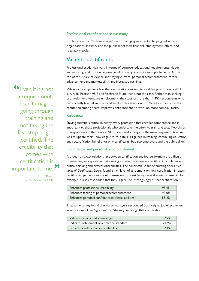#### Professional certifications serve many

Certification is an "everyone wins" enterprise, playing a part in helping individuals, organisations, industry and the public meet their financial, employment, ethical and regulatory goals.

## Value to certificants

Professional credentials vary in terms of purpose, educational requirements, rigour and industry, and those who earn certification typically cite multiple benefits. At the top of the list are relevance and staying current, personal accomplishment, career advancement and marketability, and increased earnings.

While some employers fear that certification can lead to a call for promotion, a 2013 survey by Pearson VUE and Firebrand found that is not the case. Rather than seeking promotion or alternative employment, the study of more than 1,300 respondents who had recently trained and received an IT certification found 75% did so to improve their reputation among peers, improve confidence and to work on more complex tasks.

#### Relevance

Staying current is critical in nearly every profession that certifies competence and is important to those professionals who undertake the effort to train and test. Two-thirds of respondents in the Pearson VUE-Firebrand survey cite the main purpose of training was to update their knowledge. Up-to-date skills gained in training, continuing education and recertification benefit not only certificants, but also employers and the public alike.

#### Confidence and personal accomplishment

Although an exact relationship between certification and job performance is difficult to measure, surveys show that earning a credential increases certificants' confidence in critical thinking and professional abilities. The American Board of Nursing Specialties' *Value of Certification Survey* found a high level of agreement on how certification impacts certificants' perceptions about themselves. In considering several value statements, for example, nurses responded that they "agree" or "strongly agree" that certification:

| Enhances professional credibility                  | 95.4% |
|----------------------------------------------------|-------|
| Enhances feeling of personal accomplishment        | 98.0% |
| Enhances personal confidence in clinical abilities | 88.2% |

That same survey found that nurse managers responded positively to job effectiveness value statements in "agreeing" or "strongly agreeing" that certification:

| Validates specialised knowledge             | 97.9% |
|---------------------------------------------|-------|
| Indicates attainment of a practice standard | 94.4% |
| Provides evidence of accountability         | 87.4% |

Even if it's not a requirement, I can't imagine going through training and not taking the last step to get certified. The credibility that comes with certification is important to me.

> Liz O'Brien PTCB certification candidate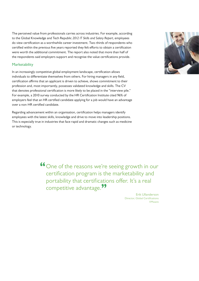The perceived value from professionals carries across industries. For example, according to the Global Knowledge and Tech Republic *2012 IT Skills and Salary Report*, employees do view certification as a worthwhile career investment. Two-thirds of respondents who certified within the previous five years reported they felt efforts to obtain a certification were worth the additional commitment. The report also noted that more than half of the respondents said employers support and recognise the value certifications provide.

#### **Marketability**

In an increasingly competitive global employment landscape, certification allows individuals to differentiate themselves from others. For hiring managers in any field, certification affirms that an applicant is driven to achieve, shows commitment to their profession and, most importantly, possesses validated knowledge and skills. The CV that denotes professional certification is more likely to be placed in the "interview pile." For example, a 2010 survey conducted by the HR Certification Institute cited 96% of employers feel that an HR certified candidate applying for a job would have an advantage over a non-HR certified candidate.

Regarding advancement within an organisation, certification helps managers identify employees with the latest skills, knowledge and drive to move into leadership positions. This is especially true in industries that face rapid and dramatic changes such as medicine or technology.

> One of the reasons we're seeing growth in our certification program is the marketability and portability that certifications offer. It's a real competitive advantage.

> > Erik Ullanderson Director, Global Certifications VMware

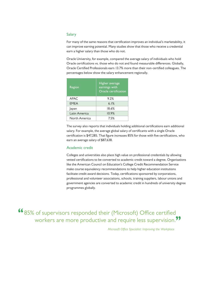#### Salary

For many of the same reasons that certification improves an individual's marketability, it can improve earning potential. Many studies show that those who receive a credential earn a higher salary than those who do not.

Oracle University, for example, compared the average salary of individuals who hold Oracle certifications vs. those who do not and found measurable differences. Globally, Oracle Certified Professionals earn 13.7% more than their non-certified colleagues. The percentages below show the salary enhancement regionally.

| Region        | Higher average<br>earnings with<br>Oracle certification |
|---------------|---------------------------------------------------------|
| <b>APAC</b>   | 9.2%                                                    |
| <b>FMFA</b>   | 6.1%                                                    |
| Japan         | 18.6%                                                   |
| Latin America | 10.9%                                                   |
| North America | 7.5%                                                    |

The survey also reports that individuals holding additional certifications earn additional salary. For example, the average global salary of certificants with a single Oracle certification is \$47,285. That figure increases 85% for those with five certifications, who earn an average salary of \$87,638.

#### Academic credit

Colleges and universities also place high value on professional credentials by allowing vetted certifications to be converted to academic credit toward a degree. Organisations like the American Council on Education's College Credit Recommendation Service make course equivalency recommendations to help higher education institutions facilitate credit award decisions. Today, certifications sponsored by corporations, professional and volunteer associations, schools, training suppliers, labour unions and government agencies are converted to academic credit in hundreds of university degree programmes globally.

**66**85% of supervisors responded their (Microsoft) Office certified workers are more productive and require less supervision.<sup>99</sup>

*Microsoft Office Specialist: Improving the Workplace*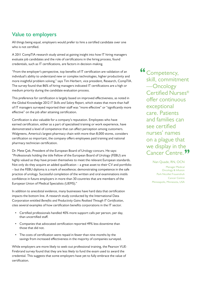# **Value to employers**

All things being equal, employers would prefer to hire a certified candidate over one who is not certified.

A 2011 CompTIA research study aimed at gaining insight into how IT hiring managers evaluate job candidates and the role of certifications in the hiring process, found credentials, such as IT certifications, are factors in decision-making.

"From the employer's perspective, top benefits of IT certification are validation of an individual's ability to understand new or complex technologies, higher productivity and more insightful problem solving," says Tim Herbert, vice president, Research, CompTIA. The survey found that 86% of hiring managers indicated IT certifications are a high or medium priority during the candidate evaluation process.

This preference for certification is largely based on improved effectiveness, as noted in the Global Knowledge 2012 *IT Skills and Salary Report*, which states that more than half of IT managers surveyed reported their staff was "more effective" or "significantly more effective" on the job after attaining certification.

Certification is also valuable for a company's reputation. Employees who have earned certification, either as a part of specialised training or work experience, have demonstrated a level of competence that can affect perception among customers. Walgreens, America's largest pharmacy chain with more than 8,000 stores, considers certification so important, the company offers employees paid training and national pharmacy technician certification.

Dr. Mete Çek, President of the European Board of Urology concurs. He says: "Professionals holding the title Fellow of the European Board of Urology (FEBU) are highly valued as they have proven themselves to meet the relevant European standards. Not only do they acquire an added qualification – a great asset to their CV and portfolio – but the FEBU diploma is a mark of excellence; demonstrating competence in the safe practice of urology. Successful completion of the written and oral examinations instils confidence in future employers in more than 30 countries that are members of the European Union of Medical Specialists (UEMS)."

In addition to anecdotal evidence, many businesses have hard data that certification impacts the bottom line. A research study conducted by the International Data Corporation entitled *Benefits and Productivity Gains Realised Through IT Certification*, cites several examples of how certification benefits corporations in the IT sector.

- Certified professionals handled 40% more support calls per person, per day, than uncertified staff.
- Companies that advocated certification reported 49% less downtime than those that did not.
- The costs of certification were repaid in fewer than nine months by the savings from increased effectiveness in the majority of companies surveyed.

While employers are more likely to seek-out professional training, the Pearson VUE-Firebrand survey found that they are less likely to fund the exam used to award the credential. This suggests that some employers have yet to fully embrace the value of certification.

Competency, skill, commitment —Oncology Certified Nurses® offer continuous exceptional care. Patients and families can see certified nurses' names on a plague that we display in the Cancer Centre.<sup>99</sup>

Nan Quade, RN, OCN

Manager Medical Oncology & Infusion Park Nicollet Frauenshuh Cancer Centre Minneapolis, Minnesota, USA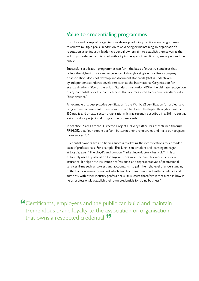## **Value to credentialing programmes**

Both for- and non-profit organisations develop voluntary certification programmes to achieve multiple goals. In addition to advancing or maintaining an organisation's reputation as an industry leader, credential owners aim to establish themselves as the industry's preferred and trusted authority in the eyes of certificants, employers and the public.

Successful certification programmes can form the basis of industry standards that reflect the highest quality and excellence. Although a single entity, like a company or association, does not develop and document standards (that is undertaken by independent standards developers such as the International Organisation for Standardisation (ISO) or the British Standards Institution (BSI)), the ultimate recognition of any credential is for the competencies that are measured to become standardised as "best practice."

An example of a best practice certification is the PRINCE2 certification for project and programme management professionals which has been developed through a panel of 150 public and private sector organisations. It was recently described in a 2011 report as a standard for project and programme professionals.

In practice, Marc Laroche, Director, Project Delivery Office, has ascertained through PRINCE2 that "our people perform better in their project roles and make our projects more successful".

Credential owners are also finding success marketing their certifications to a broader base of professionals. For example, Eric Linin, senior talent and learning manager at Lloyd's, says: "The Lloyd's and London Market Introductory Test (LLMIT) is an extremely useful qualification for anyone working in the complex world of specialist insurance. It helps both insurance professionals and representatives of professional services firms such as lawyers and accountants, to gain the right level of understanding of the London insurance market which enables them to interact with confidence and authority with other industry professionals. Its success therefore is measured in how it helps professionals establish their own credentials for doing business."

Certificants, employers and the public can build and maintain tremendous brand loyalty to the association or organisation that owns a respected credential.<sup>77</sup>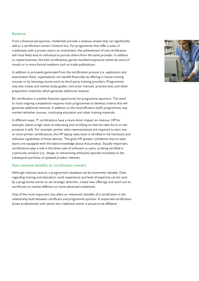#### Revenue

From a financial perspective, credentials provide a revenue stream that can significantly add to a certification owner's bottom line. For programmes that offer a suite of credentials with a proven return on investment, the achievement of one certification will most likely lead an individual to pursue others from the same provider. In addition to repeat business, the best certifications garner excellent exposure; either by word of mouth or in more formal mediums such as trade publications.

In addition to proceeds generated from the certification process (i.e. application and examination fees), organisations can benefit financially by offering in-house training courses or by licensing course work to third-party training providers. Programmes may also create and market study guides, instructor manuals, practice tests and other preparation materials which generate additional revenue.

Re-certification is another financial opportunity for programme sponsors. The need to track ongoing competence requires most programmes to develop criteria that will generate additional revenue. In addition to the recertification itself, programmes may market refresher courses, continuing education and other training materials.

In different ways, IT certifications have a more direct impact on revenue. HP for example, places a high value on educating and certifying its internal sales force on the products it sells. For example, printer sales representatives are required to earn one or more printer certifications; the HP laptop sales team is certified in the hardware and software capabilities of those devices. This gives HP greater confidence that its sales teams are equipped with the latest knowledge about that product. Equally important, certifications play a role in the direct sale of software to users, as being certified in a particular product (i.e., design or networking software) typically translates to the subsequent purchase of updated product releases.

#### Non-revenue benefits to certification owners

Although revenue neutral, a programme's database can be extremely valuable. Data regarding training and education, work experience and level of expertise can be used by a programme owner to set strategic direction, create new offerings and reach out to certificants to market different or more advanced credentials.

One of the most important, but often un-measured, benefits of a certification is the relationship built between certificant and programme sponsor. A respected certification draws professionals with whom the credential-owner is proud to be affiliated.

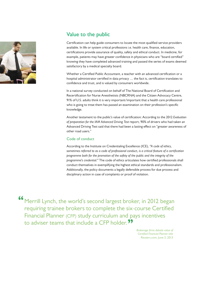

# **Value to the public**

Certification can help guide consumers to locate the most qualified service providers available. In life or system critical professions i.e. health care, finance, education, certifications provide assurance of quality, safety and ethical conduct. In medicine, for example, patients may have greater confidence in physicians who are "board certified" knowing they have completed advanced training and passed the series of exams deemed satisfactory by a medical specialty board.

Whether a Certified Public Accountant, a teacher with an advanced certification or a hospital administrator certified in data privacy … the fact is, certification translates to confidence and trust, and is valued by consumers worldwide.

In a national survey conducted on behalf of The National Board of Certification and Recertification for Nurse Anesthetists (NBCRNA) and the Citizen Advocacy Centre, 91% of U.S. adults think it is very important/important that a health care professional who is going to treat them has passed an examination on their profession's specific knowledge.

Another testament to the public's value of certification: According to the 2012 *Evaluation of preparation for the IAM Advanced Driving Test* report, 90% of drivers who had taken an Advanced Driving Test said that there had been a lasting effect on "greater awareness of other road users."

### Code of conduct

According to the Institute on Credentialing Excellence (ICE), *"A code of ethics, sometimes referred to as a code of professional conduct, is a critical feature of a certification programme both for the promotion of the safety of the public and the integrity of the programme's credential."* The code of ethics articulates how certified professionals shall conduct themselves in exemplifying the highest ethical standards and professionalism. Additionally, the policy documents a legally defensible process for due process and disciplinary action in case of complaints or proof of violation.

Merrill Lynch, the world's second largest broker, in 2012 began requiring trainee brokers to complete the six-course Certified Financial Planner (CFP) study curriculum and pays incentives to adviser teams that include a CFP holder.<sup>99</sup>

> *Brokerage firms debate value of Certified Financial Planner title* Reuters.com, June 3, 2013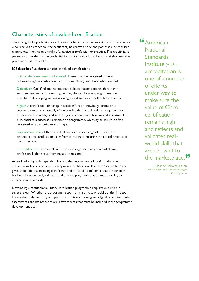# **Characteristics of a valued certification**

The strength of a professional certification is based on a fundamental trust that a person who receives a credential (the certificant) has proven he or she possesses the required experience, knowledge or skills of a particular profession or practice. This credibility is paramount in order for the credential to maintain value for individual stakeholders, the profession and the public.

**ICE describes five characteristics of valued certifications:**

**Built on demonstrated market need.** There must be perceived value in distinguishing those who have proven competency and those who have not.

**Objectivity.** Qualified and independent subject matter experts, third-party endorsement and autonomy in governing the certification programme are essential in developing and maintaining a valid and legally defensible credential.

**Rigour.** A certification that requires little effort or knowledge or one that everyone can earn is typically of lower value than one that demands great effort, experience, knowledge and skill. A rigorous regimen of training and assessment is essential to a successful certification programme, which by its nature is often perceived as a competitive advantage.

**Emphasis on ethics.** Ethical conduct covers a broad range of topics, from protecting the certification exam from cheaters to ensuring the ethical practice of the profession.

**Re-certification.** Because all industries and organisations grow and change, professionals that serve them must do the same.

Accreditation by an independent body is also recommended to affirm that the credentialing body is capable of carrying out certification. The term "accredited" also gives stakeholders, including certificants and the public confidence that the certifier has been independently validated and that the programme operates according to international standards.

Developing a reputable voluntary certification programme requires expertise in several areas. Whether the programme sponsor is a private or public entity, in-depth knowledge of the industry and particular job tasks, training and eligibility requirements, assessments and maintenance are a few aspects that must be included in the programme development plan.

American **National Standards** Institute (ANSI) accreditation is one of a number of efforts under way to make sure the value of Cisco certification remains high and reflects and validates realworld skills that are relevant to the marketplace.<sup>99</sup>

> Jeanne Beliveau-Dunn Vice President and General Manager Cisco Systems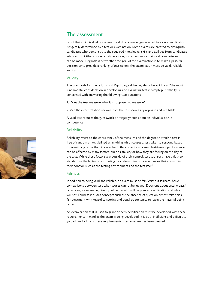## **The assessment**

Proof that an individual possesses the skill or knowledge required to earn a certification is typically determined by a test or examination. Some exams are created to distinguish candidates who demonstrate the required knowledge, skills and abilities from candidates who do not. Others place test-takers along a continuum so that valid comparisons can be made. Regardless of whether the goal of the examination is to make a pass/fail decision or to provide a ranking of test-takers, the examination must be valid, reliable and fair.

#### Validity

The Standards for Educational and Psychological Testing describe validity as "the most fundamental consideration in developing and evaluating tests". Simply put, validity is concerned with answering the following two questions:

1. Does the test measure what it is supposed to measure?

2. Are the interpretations drawn from the test scores appropriate and justifiable?

A valid test reduces the guesswork or misjudgments about an individual's true competence.

#### **Reliability**

Reliability refers to the consistency of the measure and the degree to which a test is free of random error; defined as anything which causes a test-taker to respond based on something other than knowledge of the correct response. Test-takers' performance can be affected by many factors, such as anxiety or how they are feeling on the day of the test. While these factors are outside of their control, test sponsors have a duty to standardise the factors contributing to irrelevant test score variances that are within their control, such as the testing environment and the test itself.

#### Fairness

In addition to being valid and reliable, an exam must be fair. Without fairness, basic comparisons between test-taker scores cannot be judged. Decisions about setting pass/ fail scores, for example, directly influence who will be granted certification and who will not. Fairness includes concepts such as the absence of question or test-taker bias, fair treatment with regard to scoring and equal opportunity to learn the material being tested.

An examination that is used to grant or deny certification must be developed with these requirements in mind as the exam is being developed. It is both inefficient and difficult to go back and address these requirements after an exam has been created.

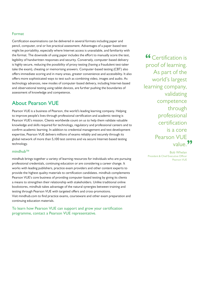#### Format

Certification examinations can be delivered in several formats including paper and pencil, computer, oral or live practical assessment. Advantages of a paper-based test might be portability, especially where Internet access is unavailable, and familiarity with the format. The downside of using paper includes the effort to manually score the test, legibility of handwritten responses and security. Conversely, computer-based delivery is highly secure, reducing the possibility of proxy testing (having a fraudulent test-taker take the exam), cheating or memorising answers. Computer-based testing (CBT) also offers immediate scoring and in many areas, greater convenience and accessibility. It also offers more sophisticated ways to test such as combining video, images and audio. As technology advances, new modes of computer-based delivery, including Internet-based and observational testing using tablet devices, are further pushing the boundaries of assessment of knowledge and competence.

## **About Pearson VUE**

Pearson VUE is a business of Pearson, the world's leading learning company. Helping to improve people's lives through professional certification and academic testing is Pearson VUE's mission. Clients worldwide count on us to help them validate valuable knowledge and skills required for technology, regulatory and professional careers and to confirm academic learning. In addition to credential management and test development expertise, Pearson VUE delivers millions of exams reliably and securely through its global network of more than 5,100 test centres and via secure Internet-based testing technology.

#### mindhub™

mindhub brings together a variety of learning resources for individuals who are pursuing professional credentials, continuing education or are considering a career change. It works with leading publishers, practice exam providers and other content experts to provide the highest quality materials to certification candidates. mindhub complements Pearson VUE's core business of providing computer-based testing by giving its clients a means to strengthen their relationship with stakeholders. Unlike traditional online bookstores, mindhub takes advantage of the natural synergies between training and testing through Pearson VUE with targeted offers and cross-promotions. Visit mindhub.com to find practice exams, courseware and other exam preparation and continuing education materials.

To learn how Pearson VUE can support and grow your certification programme, contact a Pearson VUE representative.

**<sup>66</sup>** Certification is proof of learning. As part of the world's largest learning company, validating competence through professional certification is a core Pearson VUE value.<sup>99</sup>

Bob Whelan President & Chief Executive Officer Pearson VUE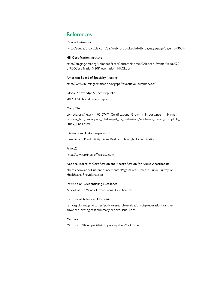## **References**

#### **Oracle University**

http://education.oracle.com/pls/web\_prod-plq-dad/db\_pages.getpage?page\_id=305#

#### **HR Certification Institute**

http://staging.hrci.org/uploadedFiles/Content/Home/Calendar\_Events/Value%20 of%20Certification%20Presentation\_HRCI.pdf

#### **American Board of Specialty Nursing**

http://www.nursingcertification.org/pdf/executive\_summary.pdf

#### **Global Knowledge & Tech Republic**

2012 IT Skills and Salary Report

#### **CompTIA**

comptia.org/news/11-02-07/IT\_Certifications\_Grow\_in\_Importance\_in\_Hiring\_ Process\_but\_Employers\_Challenged\_by\_Evaluation\_Validation\_Issues\_CompTIA\_ Study\_Finds.aspx

#### **International Data Corporation**

Benefits and Productivity Gains Realized Through IT Certification

#### **Prince2**

http://www.prince-officialsite.com

#### **National Board of Certification and Recertification for Nurse Anesthetists**

nbcrna.com/about-us/announcements/Pages/Press-Release-Public-Survey-on-Healthcare-Providers.aspx

#### **Institute on Credentialing Excellence**

A Look at the Value of Professional Certification

#### **Institute of Advanced Motorists**

iam.org.uk/images/stories/policy-research/evaluation-of-preparation-for-theadvanced-driving-test-summary-report-issue-1.pdf

#### **Microsoft**

Microsoft Office Specialist: Improving the Workplace